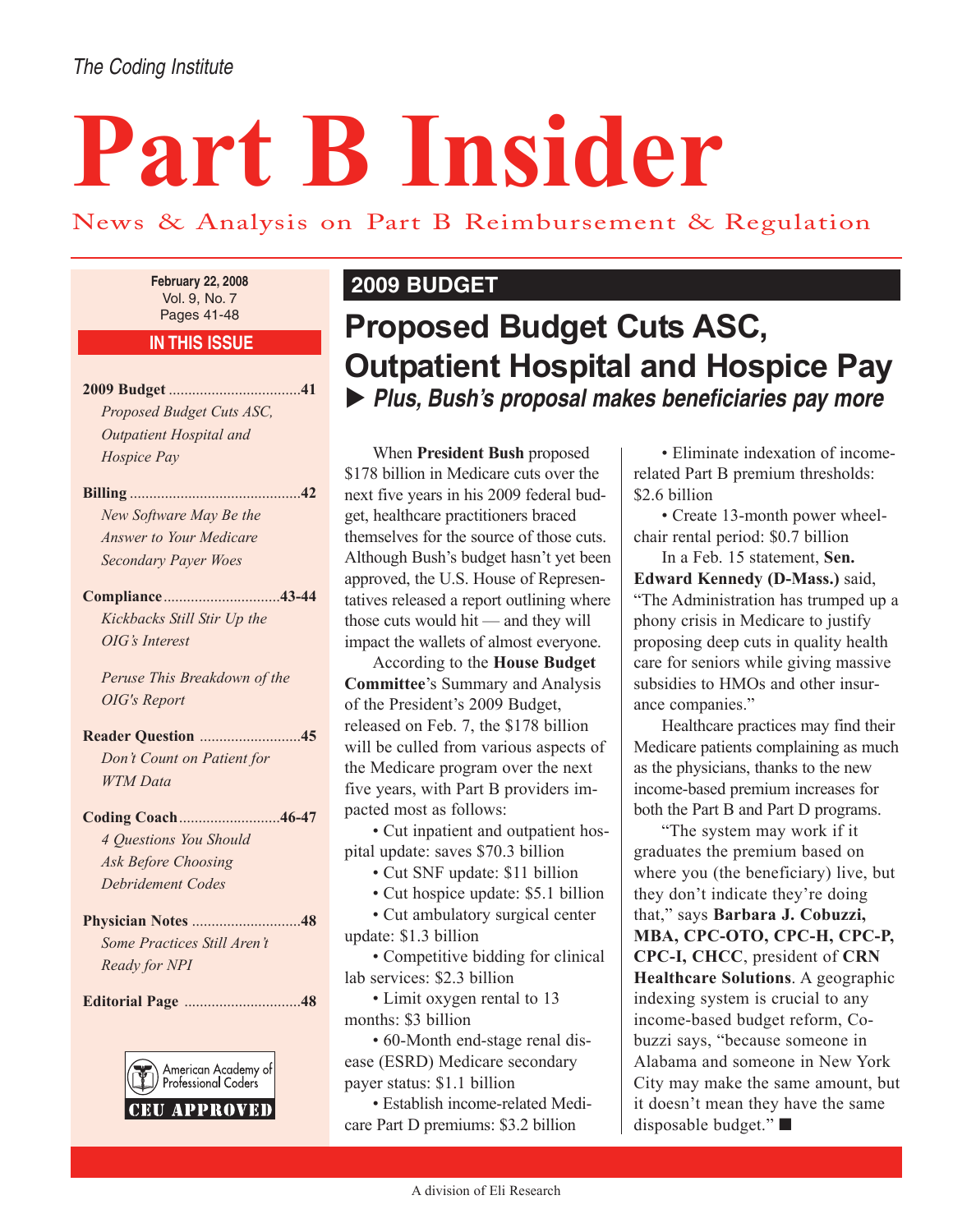#### The Coding Institute

# **Part B Insider**

#### News & Analysis on Part B Reimbursement & Regulation

Vol. 9, No. 7 Pages 41-48

**IN THIS ISSUE**

**2009 Budget** ..................................**41** *Proposed Budget Cuts ASC, Outpatient Hospital and Hospice Pay*

**Billing** ............................................**42** *New Software May Be the Answer to Your Medicare Secondary Payer Woes* 

**Compliance**..............................**43-44** *Kickbacks Still Stir Up the OIG's Interest* 

*Peruse This Breakdown of the OIG's Report*

**Reader Question** ..........................**45** *Don't Count on Patient for WTM Data*

**Coding Coach**..........................**46-47** *4 Questions You Should Ask Before Choosing Debridement Codes*

**Physician Notes** ............................**48** *Some Practices Still Aren't Ready for NPI* 

**Editorial Page** ..............................**48**



#### **February 22, 2008 2009 BUDGET**

# **Proposed Budget Cuts ASC, Outpatient Hospital and Hospice Pay** X **Plus, Bush's proposal makes beneficiaries pay more**

When **President Bush** proposed \$178 billion in Medicare cuts over the next five years in his 2009 federal budget, healthcare practitioners braced themselves for the source of those cuts. Although Bush's budget hasn't yet been approved, the U.S. House of Representatives released a report outlining where those cuts would hit — and they will impact the wallets of almost everyone.

According to the **House Budget Committee**'s Summary and Analysis of the President's 2009 Budget, released on Feb. 7, the \$178 billion will be culled from various aspects of the Medicare program over the next five years, with Part B providers impacted most as follows:

• Cut inpatient and outpatient hospital update: saves \$70.3 billion

- Cut SNF update: \$11 billion
- Cut hospice update: \$5.1 billion
- Cut ambulatory surgical center
- update: \$1.3 billion

• Competitive bidding for clinical lab services: \$2.3 billion

• Limit oxygen rental to 13 months: \$3 billion

• 60-Month end-stage renal disease (ESRD) Medicare secondary payer status: \$1.1 billion

• Establish income-related Medicare Part D premiums: \$3.2 billion

• Eliminate indexation of incomerelated Part B premium thresholds: \$2.6 billion

• Create 13-month power wheelchair rental period: \$0.7 billion

In a Feb. 15 statement, **Sen. Edward Kennedy (D-Mass.)** said, "The Administration has trumped up a phony crisis in Medicare to justify proposing deep cuts in quality health care for seniors while giving massive subsidies to HMOs and other insurance companies."

Healthcare practices may find their Medicare patients complaining as much as the physicians, thanks to the new income-based premium increases for both the Part B and Part D programs.

"The system may work if it graduates the premium based on where you (the beneficiary) live, but they don't indicate they're doing that," says **Barbara J. Cobuzzi, MBA, CPC-OTO, CPC-H, CPC-P, CPC-I, CHCC**, president of **CRN Healthcare Solutions**. A geographic indexing system is crucial to any income-based budget reform, Cobuzzi says, "because someone in Alabama and someone in New York City may make the same amount, but it doesn't mean they have the same disposable budget." ■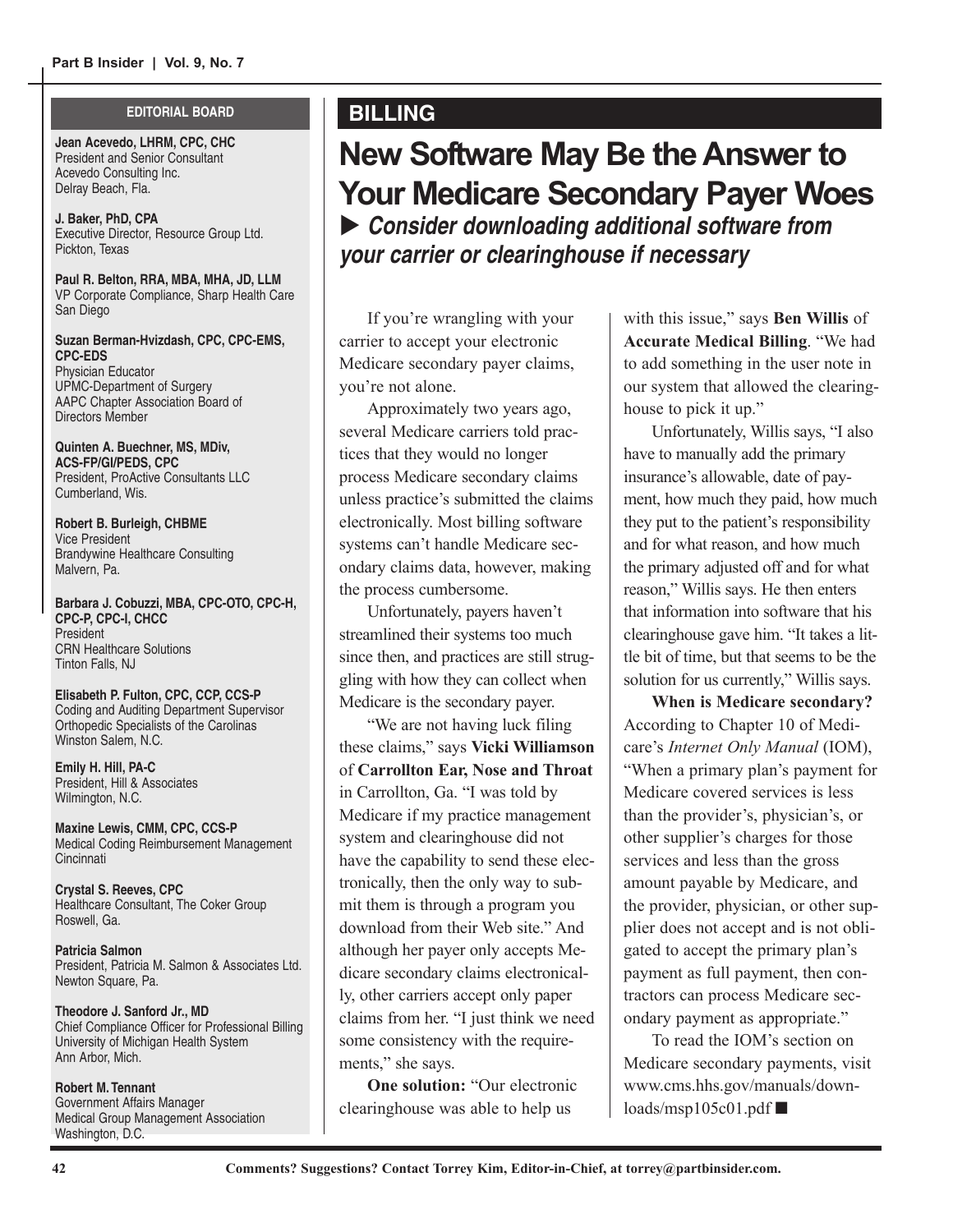#### **EDITORIAL BOARD**

**Jean Acevedo, LHRM, CPC, CHC** President and Senior Consultant Acevedo Consulting Inc. Delray Beach, Fla.

**J. Baker, PhD, CPA** Executive Director, Resource Group Ltd. Pickton, Texas

**Paul R. Belton, RRA, MBA, MHA, JD, LLM** VP Corporate Compliance, Sharp Health Care San Diego

**Suzan Berman-Hvizdash, CPC, CPC-EMS, CPC-EDS** Physician Educator UPMC-Department of Surgery AAPC Chapter Association Board of Directors Member

**Quinten A. Buechner, MS, MDiv, ACS-FP/GI/PEDS, CPC**  President, ProActive Consultants LLC Cumberland, Wis.

**Robert B. Burleigh, CHBME** Vice President Brandywine Healthcare Consulting Malvern, Pa.

**Barbara J. Cobuzzi, MBA, CPC-OTO, CPC-H, CPC-P, CPC-I, CHCC** President CRN Healthcare Solutions Tinton Falls, NJ

**Elisabeth P. Fulton, CPC, CCP, CCS-P** Coding and Auditing Department Supervisor Orthopedic Specialists of the Carolinas Winston Salem, N.C.

**Emily H. Hill, PA-C** President, Hill & Associates Wilmington, N.C.

**Maxine Lewis, CMM, CPC, CCS-P** Medical Coding Reimbursement Management **Cincinnati** 

**Crystal S. Reeves, CPC** Healthcare Consultant, The Coker Group Roswell, Ga.

**Patricia Salmon** President, Patricia M. Salmon & Associates Ltd. Newton Square, Pa.

**Theodore J. Sanford Jr., MD** Chief Compliance Officer for Professional Billing University of Michigan Health System Ann Arbor, Mich.

**Robert M. Tennant** Government Affairs Manager Medical Group Management Association Washington, D.C.

#### **BILLING**

# **New Software May Be the Answer to Your Medicare Secondary Payer Woes** ▶ Consider downloading additional software from

**your carrier or clearinghouse if necessary**

If you're wrangling with your carrier to accept your electronic Medicare secondary payer claims, you're not alone.

Approximately two years ago, several Medicare carriers told practices that they would no longer process Medicare secondary claims unless practice's submitted the claims electronically. Most billing software systems can't handle Medicare secondary claims data, however, making the process cumbersome.

Unfortunately, payers haven't streamlined their systems too much since then, and practices are still struggling with how they can collect when Medicare is the secondary payer.

"We are not having luck filing these claims," says **Vicki Williamson** of **Carrollton Ear, Nose and Throat** in Carrollton, Ga. "I was told by Medicare if my practice management system and clearinghouse did not have the capability to send these electronically, then the only way to submit them is through a program you download from their Web site." And although her payer only accepts Medicare secondary claims electronically, other carriers accept only paper claims from her. "I just think we need some consistency with the requirements," she says.

**One solution:** "Our electronic clearinghouse was able to help us

with this issue," says **Ben Willis** of **Accurate Medical Billing**. "We had to add something in the user note in our system that allowed the clearinghouse to pick it up."

Unfortunately, Willis says, "I also have to manually add the primary insurance's allowable, date of payment, how much they paid, how much they put to the patient's responsibility and for what reason, and how much the primary adjusted off and for what reason," Willis says. He then enters that information into software that his clearinghouse gave him. "It takes a little bit of time, but that seems to be the solution for us currently," Willis says.

**When is Medicare secondary?** According to Chapter 10 of Medicare's *Internet Only Manual* (IOM), "When a primary plan's payment for Medicare covered services is less than the provider's, physician's, or other supplier's charges for those services and less than the gross amount payable by Medicare, and the provider, physician, or other supplier does not accept and is not obligated to accept the primary plan's payment as full payment, then contractors can process Medicare secondary payment as appropriate."

To read the IOM's section on Medicare secondary payments, visit www.cms.hhs.gov/manuals/downloads/msp105c01.pdf  $\blacksquare$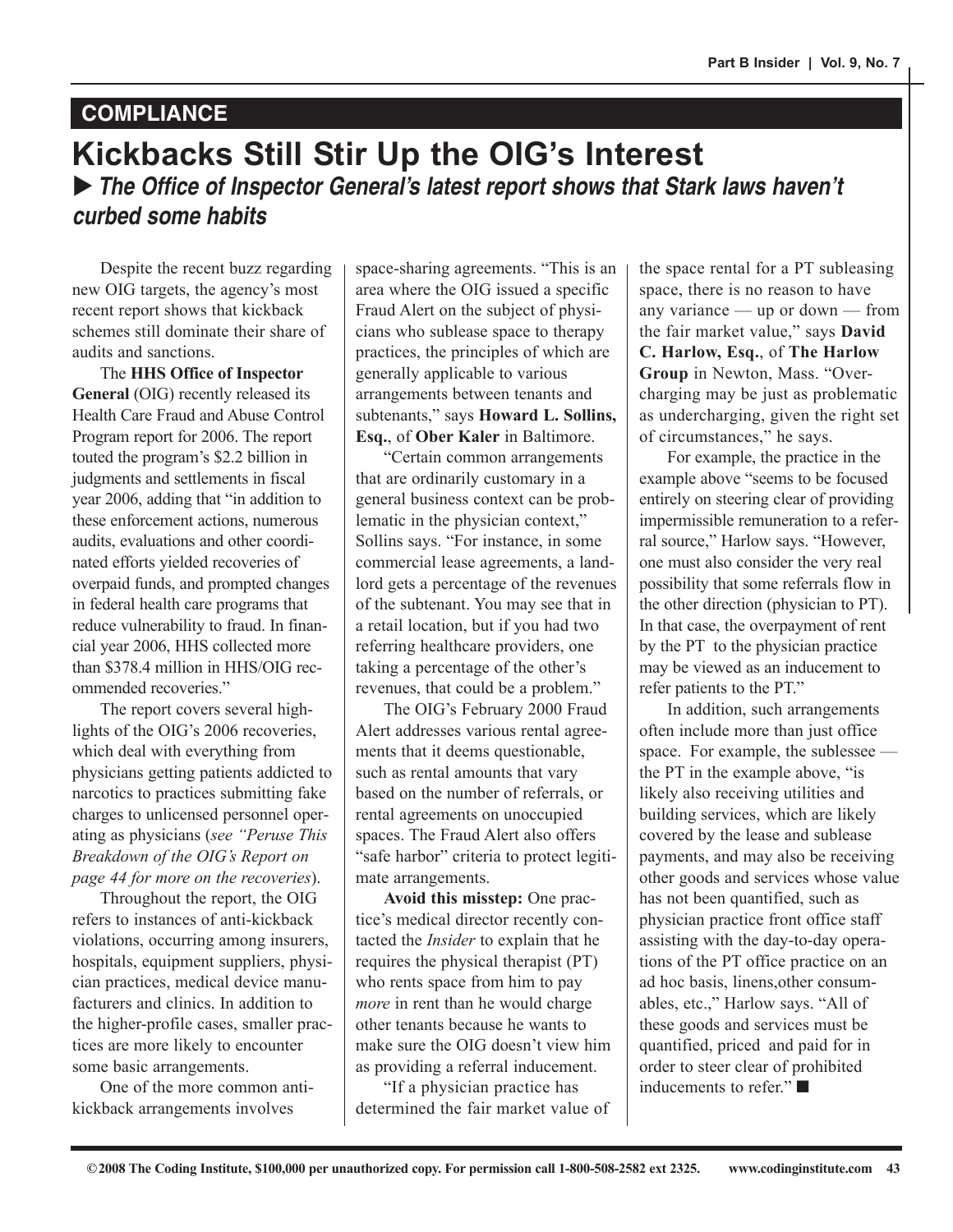### **COMPLIANCE**

### **Kickbacks Still Stir Up the OIG's Interest** ▶ The Office of Inspector General's latest report shows that Stark laws haven't **curbed some habits**

Despite the recent buzz regarding new OIG targets, the agency's most recent report shows that kickback schemes still dominate their share of audits and sanctions.

The **HHS Office of Inspector General** (OIG) recently released its Health Care Fraud and Abuse Control Program report for 2006. The report touted the program's \$2.2 billion in judgments and settlements in fiscal year 2006, adding that "in addition to these enforcement actions, numerous audits, evaluations and other coordinated efforts yielded recoveries of overpaid funds, and prompted changes in federal health care programs that reduce vulnerability to fraud. In financial year 2006, HHS collected more than \$378.4 million in HHS/OIG recommended recoveries."

The report covers several highlights of the OIG's 2006 recoveries, which deal with everything from physicians getting patients addicted to narcotics to practices submitting fake charges to unlicensed personnel operating as physicians (*see "Peruse This Breakdown of the OIG's Report on page 44 for more on the recoveries*).

Throughout the report, the OIG refers to instances of anti-kickback violations, occurring among insurers, hospitals, equipment suppliers, physician practices, medical device manufacturers and clinics. In addition to the higher-profile cases, smaller practices are more likely to encounter some basic arrangements.

One of the more common antikickback arrangements involves

space-sharing agreements. "This is an area where the OIG issued a specific Fraud Alert on the subject of physicians who sublease space to therapy practices, the principles of which are generally applicable to various arrangements between tenants and subtenants," says **Howard L. Sollins, Esq.**, of **Ober Kaler** in Baltimore.

"Certain common arrangements that are ordinarily customary in a general business context can be problematic in the physician context," Sollins says. "For instance, in some commercial lease agreements, a landlord gets a percentage of the revenues of the subtenant. You may see that in a retail location, but if you had two referring healthcare providers, one taking a percentage of the other's revenues, that could be a problem."

The OIG's February 2000 Fraud Alert addresses various rental agreements that it deems questionable, such as rental amounts that vary based on the number of referrals, or rental agreements on unoccupied spaces. The Fraud Alert also offers "safe harbor" criteria to protect legitimate arrangements.

**Avoid this misstep:** One practice's medical director recently contacted the *Insider* to explain that he requires the physical therapist (PT) who rents space from him to pay *more* in rent than he would charge other tenants because he wants to make sure the OIG doesn't view him as providing a referral inducement.

"If a physician practice has determined the fair market value of the space rental for a PT subleasing space, there is no reason to have any variance — up or down — from the fair market value," says **David C. Harlow, Esq.**, of **The Harlow Group** in Newton, Mass. "Overcharging may be just as problematic as undercharging, given the right set of circumstances," he says.

For example, the practice in the example above "seems to be focused entirely on steering clear of providing impermissible remuneration to a referral source," Harlow says. "However, one must also consider the very real possibility that some referrals flow in the other direction (physician to PT). In that case, the overpayment of rent by the PT to the physician practice may be viewed as an inducement to refer patients to the PT."

In addition, such arrangements often include more than just office space. For example, the sublessee the PT in the example above, "is likely also receiving utilities and building services, which are likely covered by the lease and sublease payments, and may also be receiving other goods and services whose value has not been quantified, such as physician practice front office staff assisting with the day-to-day operations of the PT office practice on an ad hoc basis, linens,other consumables, etc.," Harlow says. "All of these goods and services must be quantified, priced and paid for in order to steer clear of prohibited inducements to refer." ■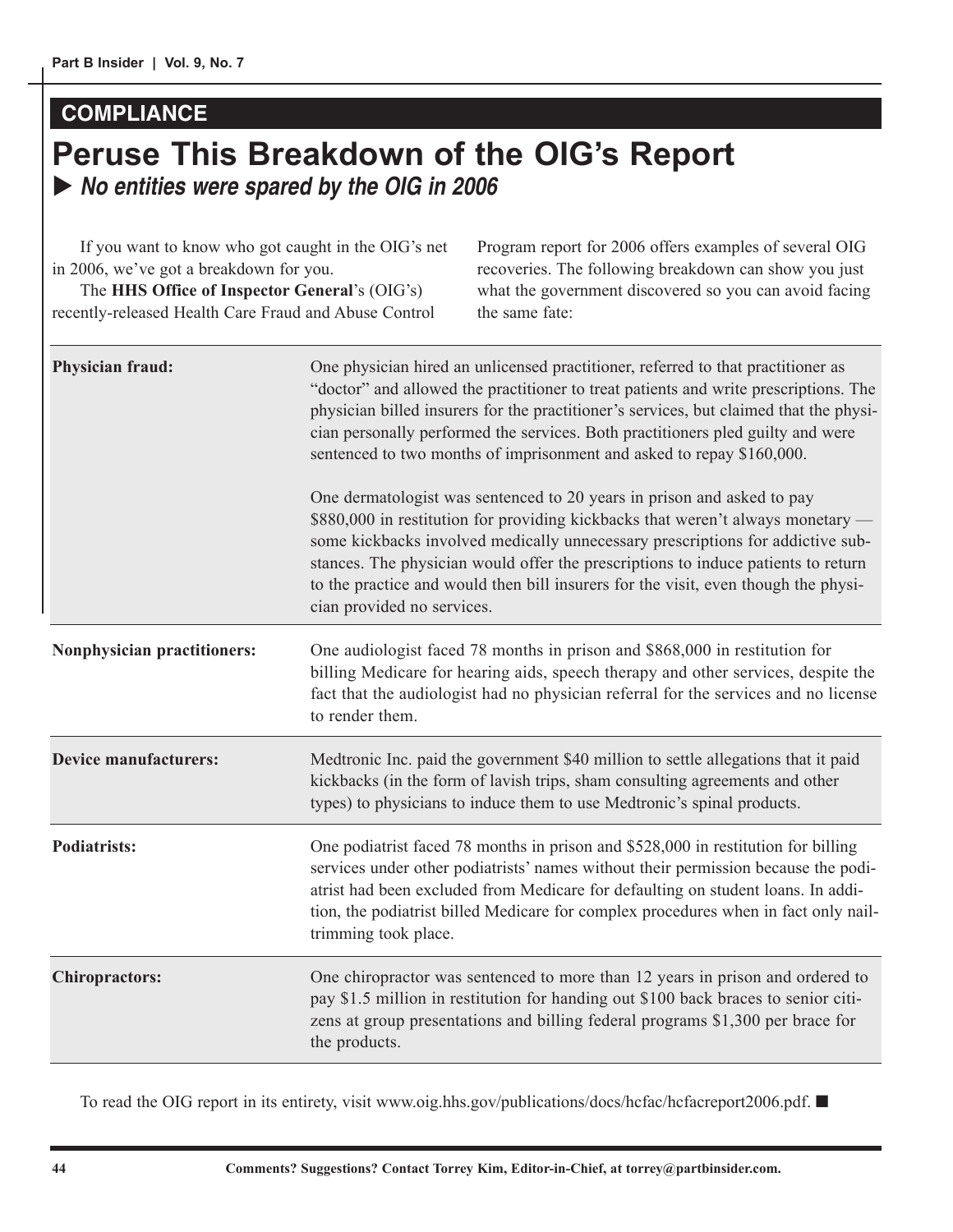#### **COMPLIANCE**

## **Peruse This Breakdown of the OIG's Report** ▶ No entities were spared by the OIG in 2006

| If you want to know who got caught in the OIG's net<br>in 2006, we've got a breakdown for you.<br>The HHS Office of Inspector General's (OIG's)<br>recently-released Health Care Fraud and Abuse Control |                                                                                                                                                                                                                                                                                                                                                                                                                                                      | Program report for 2006 offers examples of several OIG<br>recoveries. The following breakdown can show you just<br>what the government discovered so you can avoid facing<br>the same fate:                                                                                                                                                        |  |  |  |
|----------------------------------------------------------------------------------------------------------------------------------------------------------------------------------------------------------|------------------------------------------------------------------------------------------------------------------------------------------------------------------------------------------------------------------------------------------------------------------------------------------------------------------------------------------------------------------------------------------------------------------------------------------------------|----------------------------------------------------------------------------------------------------------------------------------------------------------------------------------------------------------------------------------------------------------------------------------------------------------------------------------------------------|--|--|--|
| Physician fraud:                                                                                                                                                                                         | One physician hired an unlicensed practitioner, referred to that practitioner as<br>"doctor" and allowed the practitioner to treat patients and write prescriptions. The<br>physician billed insurers for the practitioner's services, but claimed that the physi-<br>cian personally performed the services. Both practitioners pled guilty and were<br>sentenced to two months of imprisonment and asked to repay \$160,000.                       |                                                                                                                                                                                                                                                                                                                                                    |  |  |  |
|                                                                                                                                                                                                          | One dermatologist was sentenced to 20 years in prison and asked to pay<br>\$880,000 in restitution for providing kickbacks that weren't always monetary -<br>some kickbacks involved medically unnecessary prescriptions for addictive sub-<br>stances. The physician would offer the prescriptions to induce patients to return<br>to the practice and would then bill insurers for the visit, even though the physi-<br>cian provided no services. |                                                                                                                                                                                                                                                                                                                                                    |  |  |  |
| <b>Nonphysician practitioners:</b>                                                                                                                                                                       | One audiologist faced 78 months in prison and \$868,000 in restitution for<br>billing Medicare for hearing aids, speech therapy and other services, despite the<br>fact that the audiologist had no physician referral for the services and no license<br>to render them.                                                                                                                                                                            |                                                                                                                                                                                                                                                                                                                                                    |  |  |  |
| <b>Device manufacturers:</b>                                                                                                                                                                             | Medtronic Inc. paid the government \$40 million to settle allegations that it paid<br>kickbacks (in the form of lavish trips, sham consulting agreements and other<br>types) to physicians to induce them to use Medtronic's spinal products.                                                                                                                                                                                                        |                                                                                                                                                                                                                                                                                                                                                    |  |  |  |
| <b>Podiatrists:</b>                                                                                                                                                                                      | trimming took place.                                                                                                                                                                                                                                                                                                                                                                                                                                 | One podiatrist faced 78 months in prison and \$528,000 in restitution for billing<br>services under other podiatrists' names without their permission because the podi-<br>atrist had been excluded from Medicare for defaulting on student loans. In addi-<br>tion, the podiatrist billed Medicare for complex procedures when in fact only nail- |  |  |  |
| <b>Chiropractors:</b>                                                                                                                                                                                    | the products.                                                                                                                                                                                                                                                                                                                                                                                                                                        | One chiropractor was sentenced to more than 12 years in prison and ordered to<br>pay \$1.5 million in restitution for handing out \$100 back braces to senior citi-<br>zens at group presentations and billing federal programs \$1,300 per brace for                                                                                              |  |  |  |

To read the OIG report in its entirety, visit www.oig.hhs.gov/publications/docs/hcfac/hcfacreport2006.pdf. ■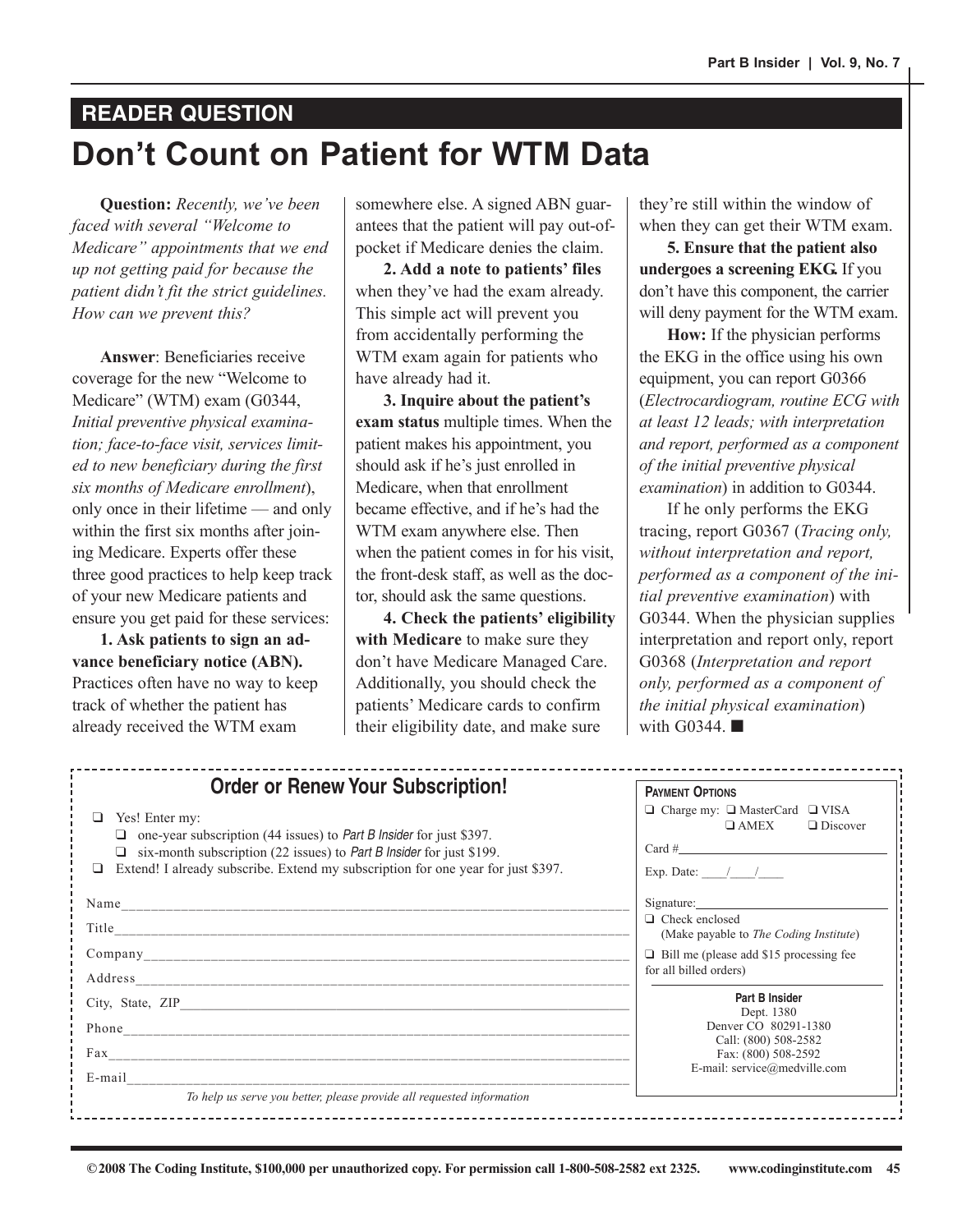# **Don't Count on Patient for WTM Data READER QUESTION**

**Question:** *Recently, we've been faced with several "Welcome to Medicare" appointments that we end up not getting paid for because the patient didn't fit the strict guidelines. How can we prevent this?*

**Answer**: Beneficiaries receive coverage for the new "Welcome to Medicare" (WTM) exam (G0344, *Initial preventive physical examination; face-to-face visit, services limited to new beneficiary during the first six months of Medicare enrollment*), only once in their lifetime — and only within the first six months after joining Medicare. Experts offer these three good practices to help keep track of your new Medicare patients and ensure you get paid for these services:

**1. Ask patients to sign an advance beneficiary notice (ABN).** Practices often have no way to keep track of whether the patient has already received the WTM exam

somewhere else. A signed ABN guarantees that the patient will pay out-ofpocket if Medicare denies the claim.

**2. Add a note to patients' files** when they've had the exam already. This simple act will prevent you from accidentally performing the WTM exam again for patients who have already had it.

**3. Inquire about the patient's exam status** multiple times. When the patient makes his appointment, you should ask if he's just enrolled in Medicare, when that enrollment became effective, and if he's had the WTM exam anywhere else. Then when the patient comes in for his visit, the front-desk staff, as well as the doctor, should ask the same questions.

**4. Check the patients' eligibility with Medicare** to make sure they don't have Medicare Managed Care. Additionally, you should check the patients' Medicare cards to confirm their eligibility date, and make sure

they're still within the window of when they can get their WTM exam.

**5. Ensure that the patient also undergoes a screening EKG.** If you don't have this component, the carrier will deny payment for the WTM exam.

**How:** If the physician performs the EKG in the office using his own equipment, you can report G0366 (*Electrocardiogram, routine ECG with at least 12 leads; with interpretation and report, performed as a component of the initial preventive physical examination*) in addition to G0344.

If he only performs the EKG tracing, report G0367 (*Tracing only, without interpretation and report, performed as a component of the initial preventive examination*) with G0344. When the physician supplies interpretation and report only, report G0368 (*Interpretation and report only, performed as a component of the initial physical examination*) with G0344. ■

| <b>Order or Renew Your Subscription!</b>                                                                                                                                                                                                                                | <b>PAYMENT OPTIONS</b>                                                                                          |
|-------------------------------------------------------------------------------------------------------------------------------------------------------------------------------------------------------------------------------------------------------------------------|-----------------------------------------------------------------------------------------------------------------|
| Yes! Enter my:<br>one-year subscription (44 issues) to <i>Part B Insider</i> for just \$397.<br>□<br>six-month subscription (22 issues) to Part B Insider for just \$199.<br>□<br>Extend! I already subscribe. Extend my subscription for one year for just \$397.<br>□ | $\Box$ Charge my: $\Box$ MasterCard $\Box$ VISA<br>$\Box$ AMEX<br>$\Box$ Discover<br>Exp. Date: $\frac{\ }{\ }$ |
|                                                                                                                                                                                                                                                                         | Signature:                                                                                                      |
|                                                                                                                                                                                                                                                                         | $\Box$ Check enclosed<br>(Make payable to <i>The Coding Institute</i> )                                         |
|                                                                                                                                                                                                                                                                         | $\Box$ Bill me (please add \$15 processing fee<br>for all billed orders)                                        |
|                                                                                                                                                                                                                                                                         |                                                                                                                 |
|                                                                                                                                                                                                                                                                         | Part B Insider<br>Dept. 1380                                                                                    |
| Phone                                                                                                                                                                                                                                                                   | Denver CO 80291-1380                                                                                            |
|                                                                                                                                                                                                                                                                         | Call: (800) 508-2582<br>Fax: (800) 508-2592                                                                     |
| E-mail                                                                                                                                                                                                                                                                  | E-mail: service@medville.com                                                                                    |
| To help us serve you better, please provide all requested information                                                                                                                                                                                                   |                                                                                                                 |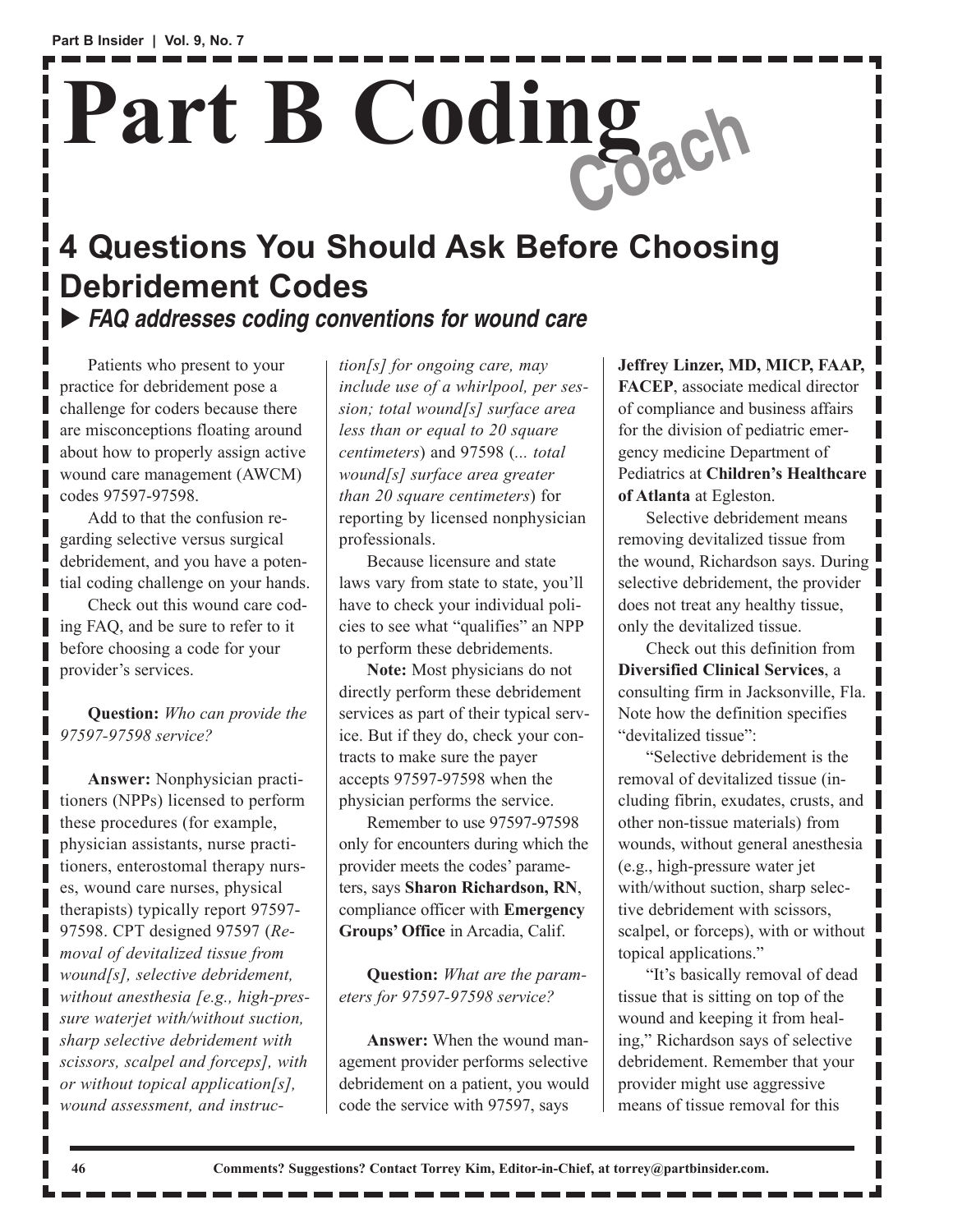# **Part B Coding Coach**

# **4 Questions You Should Ask Before Choosing Debridement Codes** X **FAQ addresses coding conventions for wound care**

Patients who present to your practice for debridement pose a challenge for coders because there are misconceptions floating around about how to properly assign active wound care management (AWCM) codes 97597-97598.

Add to that the confusion regarding selective versus surgical debridement, and you have a potential coding challenge on your hands.

Check out this wound care coding FAQ, and be sure to refer to it before choosing a code for your provider's services.

**Question:** *Who can provide the 97597-97598 service?*

**Answer:** Nonphysician practitioners (NPPs) licensed to perform these procedures (for example, physician assistants, nurse practitioners, enterostomal therapy nurses, wound care nurses, physical therapists) typically report 97597- 97598. CPT designed 97597 (*Removal of devitalized tissue from wound[s], selective debridement, without anesthesia [e.g., high-pressure waterjet with/without suction, sharp selective debridement with scissors, scalpel and forceps], with or without topical application[s], wound assessment, and instruc-*

*tion[s] for ongoing care, may include use of a whirlpool, per session; total wound[s] surface area less than or equal to 20 square centimeters*) and 97598 (*... total wound[s] surface area greater than 20 square centimeters*) for reporting by licensed nonphysician professionals.

Because licensure and state laws vary from state to state, you'll have to check your individual policies to see what "qualifies" an NPP to perform these debridements.

**Note:** Most physicians do not directly perform these debridement services as part of their typical service. But if they do, check your contracts to make sure the payer accepts 97597-97598 when the physician performs the service.

Remember to use 97597-97598 only for encounters during which the provider meets the codes' parameters, says **Sharon Richardson, RN**, compliance officer with **Emergency Groups' Office** in Arcadia, Calif.

**Question:** *What are the parameters for 97597-97598 service?*

**Answer:** When the wound management provider performs selective debridement on a patient, you would code the service with 97597, says

**Jeffrey Linzer, MD, MICP, FAAP, FACEP**, associate medical director of compliance and business affairs for the division of pediatric emergency medicine Department of Pediatrics at **Children's Healthcare of Atlanta** at Egleston.

Selective debridement means removing devitalized tissue from the wound, Richardson says. During selective debridement, the provider does not treat any healthy tissue, only the devitalized tissue.

Check out this definition from **Diversified Clinical Services**, a consulting firm in Jacksonville, Fla. Note how the definition specifies "devitalized tissue":

"Selective debridement is the removal of devitalized tissue (including fibrin, exudates, crusts, and other non-tissue materials) from wounds, without general anesthesia (e.g., high-pressure water jet with/without suction, sharp selective debridement with scissors, scalpel, or forceps), with or without topical applications."

"It's basically removal of dead tissue that is sitting on top of the wound and keeping it from healing," Richardson says of selective debridement. Remember that your provider might use aggressive means of tissue removal for this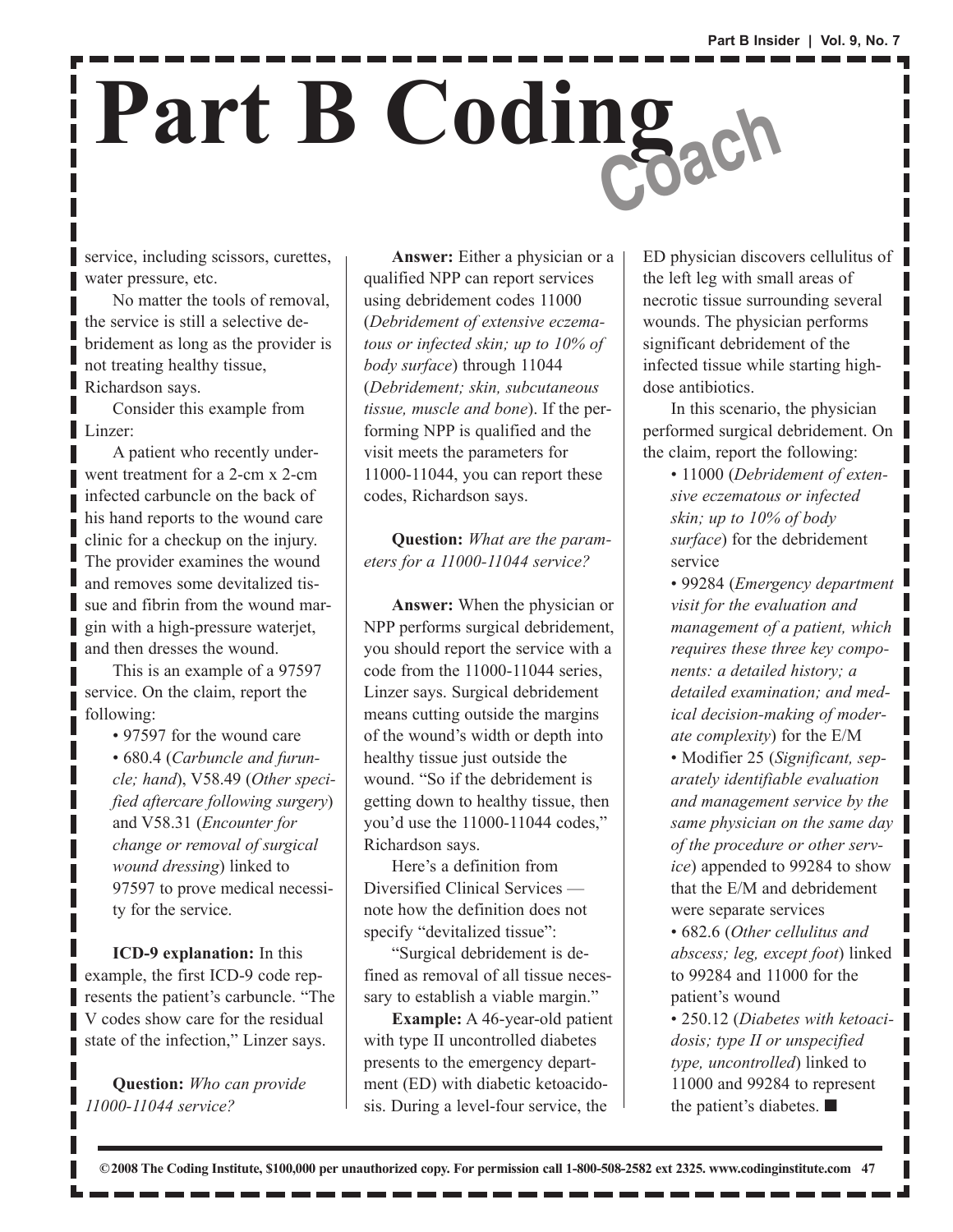# **Part B Coding Coach**

service, including scissors, curettes, water pressure, etc.

No matter the tools of removal, the service is still a selective debridement as long as the provider is not treating healthy tissue, Richardson says.

Consider this example from Linzer:

П

A patient who recently underwent treatment for a 2-cm x 2-cm infected carbuncle on the back of his hand reports to the wound care clinic for a checkup on the injury. The provider examines the wound and removes some devitalized tissue and fibrin from the wound margin with a high-pressure waterjet, and then dresses the wound.

This is an example of a 97597 service. On the claim, report the following:

> • 97597 for the wound care • 680.4 (*Carbuncle and furuncle; hand*), V58.49 (*Other specified aftercare following surgery*) and V58.31 (*Encounter for change or removal of surgical wound dressing*) linked to 97597 to prove medical necessity for the service.

**ICD-9 explanation:** In this example, the first ICD-9 code represents the patient's carbuncle. "The V codes show care for the residual state of the infection," Linzer says.

**Question:** *Who can provide 11000-11044 service?*

**Answer:** Either a physician or a qualified NPP can report services using debridement codes 11000 (*Debridement of extensive eczematous or infected skin; up to 10% of body surface*) through 11044 (*Debridement; skin, subcutaneous tissue, muscle and bone*). If the performing NPP is qualified and the visit meets the parameters for 11000-11044, you can report these codes, Richardson says.

**Question:** *What are the parameters for a 11000-11044 service?*

**Answer:** When the physician or NPP performs surgical debridement, you should report the service with a code from the 11000-11044 series, Linzer says. Surgical debridement means cutting outside the margins of the wound's width or depth into healthy tissue just outside the wound. "So if the debridement is getting down to healthy tissue, then you'd use the 11000-11044 codes," Richardson says.

Here's a definition from Diversified Clinical Services note how the definition does not specify "devitalized tissue":

"Surgical debridement is defined as removal of all tissue necessary to establish a viable margin."

**Example:** A 46-year-old patient with type II uncontrolled diabetes presents to the emergency department (ED) with diabetic ketoacidosis. During a level-four service, the

ED physician discovers cellulitus of the left leg with small areas of necrotic tissue surrounding several wounds. The physician performs significant debridement of the infected tissue while starting highdose antibiotics.

In this scenario, the physician performed surgical debridement. On the claim, report the following:

> • 11000 (*Debridement of extensive eczematous or infected skin; up to 10% of body surface*) for the debridement service

• 99284 (*Emergency department visit for the evaluation and management of a patient, which requires these three key components: a detailed history; a detailed examination; and medical decision-making of moderate complexity*) for the E/M

• Modifier 25 (*Significant, separately identifiable evaluation and management service by the same physician on the same day of the procedure or other service*) appended to 99284 to show that the E/M and debridement were separate services

• 682.6 (*Other cellulitus and abscess; leg, except foot*) linked to 99284 and 11000 for the patient's wound

• 250.12 (*Diabetes with ketoacidosis; type II or unspecified type, uncontrolled*) linked to 11000 and 99284 to represent the patient's diabetes. ■